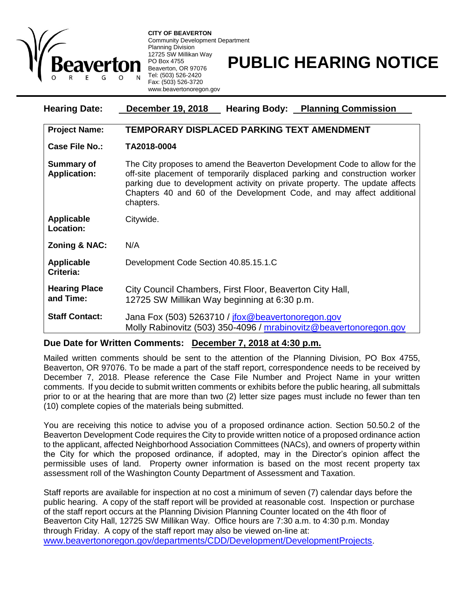

**CITY OF BEAVERTON** Community Development Department Planning Division 12725 SW Millikan Way PO Box 4755 Beaverton, OR 97076 Tel: (503) 526-2420 Fax: (503) 526-3720 www.beavertonoregon.gov

## **PUBLIC HEARING NOTICE**

| <b>Hearing Date:</b>                     | <b>December 19, 2018</b><br><b>Hearing Body: Planning Commission</b>                                                                                                                                                                                                                                                           |
|------------------------------------------|--------------------------------------------------------------------------------------------------------------------------------------------------------------------------------------------------------------------------------------------------------------------------------------------------------------------------------|
| <b>Project Name:</b>                     | TEMPORARY DISPLACED PARKING TEXT AMENDMENT                                                                                                                                                                                                                                                                                     |
| Case File No.:                           | TA2018-0004                                                                                                                                                                                                                                                                                                                    |
| <b>Summary of</b><br><b>Application:</b> | The City proposes to amend the Beaverton Development Code to allow for the<br>off-site placement of temporarily displaced parking and construction worker<br>parking due to development activity on private property. The update affects<br>Chapters 40 and 60 of the Development Code, and may affect additional<br>chapters. |
| <b>Applicable</b><br>Location:           | Citywide.                                                                                                                                                                                                                                                                                                                      |
| Zoning & NAC:                            | N/A                                                                                                                                                                                                                                                                                                                            |
| <b>Applicable</b><br>Criteria:           | Development Code Section 40.85.15.1.C                                                                                                                                                                                                                                                                                          |
| <b>Hearing Place</b><br>and Time:        | City Council Chambers, First Floor, Beaverton City Hall,<br>12725 SW Millikan Way beginning at 6:30 p.m.                                                                                                                                                                                                                       |
| <b>Staff Contact:</b>                    | Jana Fox (503) 5263710 / jfox@beavertonoregon.gov<br>Molly Rabinovitz (503) 350-4096 / mrabinovitz@beavertonoregon.gov                                                                                                                                                                                                         |

## **Due Date for Written Comments: December 7, 2018 at 4:30 p.m.**

Mailed written comments should be sent to the attention of the Planning Division, PO Box 4755, Beaverton, OR 97076. To be made a part of the staff report, correspondence needs to be received by December 7, 2018. Please reference the Case File Number and Project Name in your written comments. If you decide to submit written comments or exhibits before the public hearing, all submittals prior to or at the hearing that are more than two (2) letter size pages must include no fewer than ten (10) complete copies of the materials being submitted.

You are receiving this notice to advise you of a proposed ordinance action. Section 50.50.2 of the Beaverton Development Code requires the City to provide written notice of a proposed ordinance action to the applicant, affected Neighborhood Association Committees (NACs), and owners of property within the City for which the proposed ordinance, if adopted, may in the Director's opinion affect the permissible uses of land. Property owner information is based on the most recent property tax assessment roll of the Washington County Department of Assessment and Taxation.

Staff reports are available for inspection at no cost a minimum of seven (7) calendar days before the public hearing. A copy of the staff report will be provided at reasonable cost. Inspection or purchase of the staff report occurs at the Planning Division Planning Counter located on the 4th floor of Beaverton City Hall, 12725 SW Millikan Way. Office hours are 7:30 a.m. to 4:30 p.m. Monday through Friday. A copy of the staff report may also be viewed on-line at: [www.beavertonoregon.gov/departments/CDD/Development/DevelopmentProjects](http://www.beavertonoregon.gov/departments/CDD/Development/DevelopmentProjects).